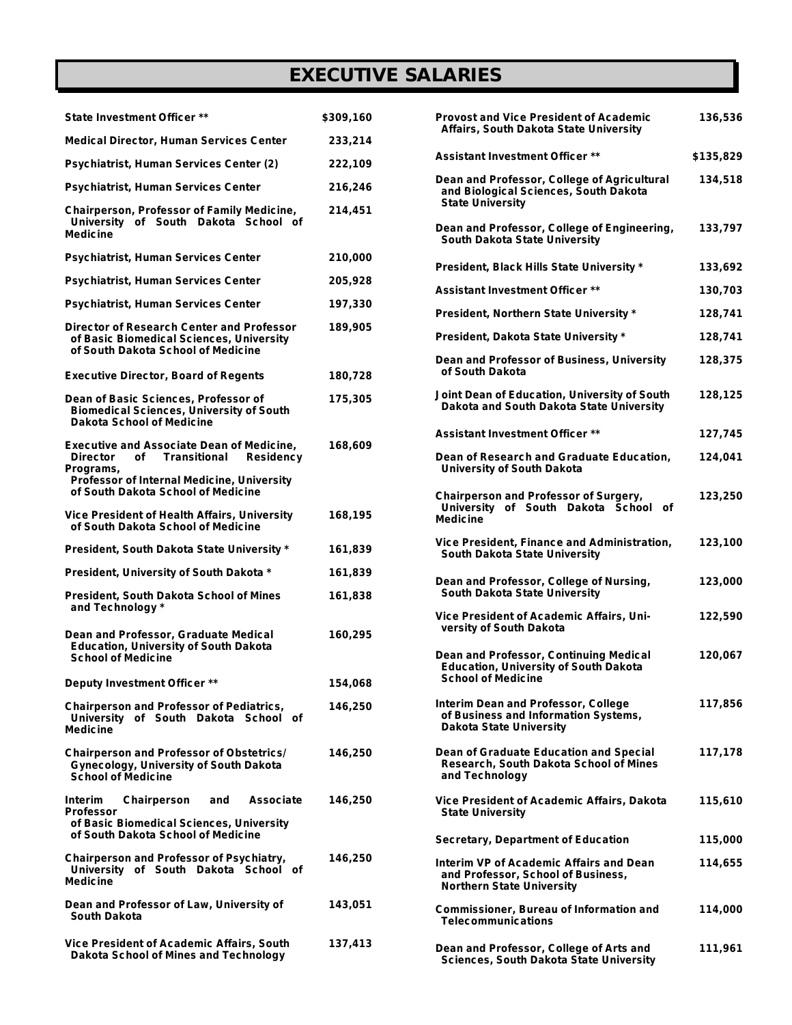## *EXECUTIVE SALARIES*

| <b>State Investment Officer **</b>                                                                                                                                                                | \$309,160 |
|---------------------------------------------------------------------------------------------------------------------------------------------------------------------------------------------------|-----------|
| <b>Medical Director, Human Services Center</b>                                                                                                                                                    | 233,214   |
| Psychiatrist, Human Services Center (2)                                                                                                                                                           | 222,109   |
| Psychiatrist, Human Services Center                                                                                                                                                               | 216,246   |
| Chairperson, Professor of Family Medicine,<br>University of South Dakota School of<br><b>Medicine</b>                                                                                             | 214,451   |
| Psychiatrist, Human Services Center                                                                                                                                                               | 210,000   |
| Psychiatrist, Human Services Center                                                                                                                                                               | 205,928   |
| Psychiatrist, Human Services Center                                                                                                                                                               | 197,330   |
| Director of Research Center and Professor<br>of Basic Biomedical Sciences, University<br>of South Dakota School of Medicine                                                                       | 189,905   |
| <b>Executive Director, Board of Regents</b>                                                                                                                                                       | 180,728   |
| Dean of Basic Sciences, Professor of<br><b>Biomedical Sciences, University of South</b><br><b>Dakota School of Medicine</b>                                                                       | 175,305   |
| <b>Executive and Associate Dean of Medicine,</b><br><b>Director</b><br>of Transitional Residency<br>Programs,<br>Professor of Internal Medicine, University<br>of South Dakota School of Medicine | 168,609   |
| Vice President of Health Affairs, University<br>of South Dakota School of Medicine                                                                                                                | 168,195   |
| President, South Dakota State University *                                                                                                                                                        | 161,839   |
| President, University of South Dakota *                                                                                                                                                           | 161,839   |
| <b>President, South Dakota School of Mines</b><br>and Technology *                                                                                                                                | 161,838   |
| Dean and Professor, Graduate Medical<br><b>Education, University of South Dakota</b><br><b>School of Medicine</b>                                                                                 | 160,295   |
| Deputy Investment Officer **                                                                                                                                                                      | 154,068   |
| <b>Chairperson and Professor of Pediatrics,</b><br>University of South Dakota School of<br><b>Medicine</b>                                                                                        | 146,250   |
| <b>Chairperson and Professor of Obstetrics/</b><br>Gynecology, University of South Dakota<br><b>School of Medicine</b>                                                                            | 146,250   |
| Chairperson and<br>Interim<br>Associate<br>Professor<br>of Basic Biomedical Sciences, University<br>of South Dakota School of Medicine                                                            | 146,250   |
| Chairperson and Professor of Psychiatry,<br>University of South Dakota School of<br><b>Medicine</b>                                                                                               | 146,250   |
| Dean and Professor of Law, University of<br>South Dakota                                                                                                                                          | 143,051   |
| Vice President of Academic Affairs, South<br>Dakota School of Mines and Technology                                                                                                                | 137,413   |

| <b>Provost and Vice President of Academic</b><br>Affairs, South Dakota State University                             | 136,536   |
|---------------------------------------------------------------------------------------------------------------------|-----------|
| <b>Assistant Investment Officer **</b>                                                                              | \$135,829 |
| Dean and Professor, College of Agricultural<br>and Biological Sciences, South Dakota<br><b>State University</b>     | 134,518   |
| Dean and Professor, College of Engineering,<br>South Dakota State University                                        | 133,797   |
| President, Black Hills State University *                                                                           | 133,692   |
| <b>Assistant Investment Officer **</b>                                                                              | 130,703   |
| President, Northern State University *                                                                              | 128,741   |
| President, Dakota State University *                                                                                | 128,741   |
| Dean and Professor of Business, University<br>of South Dakota                                                       | 128,375   |
| Joint Dean of Education, University of South<br>Dakota and South Dakota State University                            | 128,125   |
| <b>Assistant Investment Officer **</b>                                                                              | 127,745   |
| Dean of Research and Graduate Education,<br><b>University of South Dakota</b>                                       | 124,041   |
| <b>Chairperson and Professor of Surgery,</b><br>University of South Dakota School of<br><b>Medicine</b>             | 123,250   |
| Vice President, Finance and Administration,<br>South Dakota State University                                        | 123,100   |
| Dean and Professor, College of Nursing,<br>South Dakota State University                                            | 123,000   |
| Vice President of Academic Affairs, Uni-<br>versity of South Dakota                                                 | 122,590   |
| Dean and Professor, Continuing Medical<br><b>Education, University of South Dakota</b><br><b>School of Medicine</b> | 120,067   |
| Interim Dean and Professor, College<br>of Business and Information Systems,<br><b>Dakota State University</b>       | 117,856   |
| Dean of Graduate Education and Special<br>Research, South Dakota School of Mines<br>and Technology                  | 117,178   |
| Vice President of Academic Affairs, Dakota<br><b>State University</b>                                               | 115,610   |
| <b>Secretary, Department of Education</b>                                                                           | 115,000   |
| Interim VP of Academic Affairs and Dean<br>and Professor, School of Business,<br><b>Northern State University</b>   | 114,655   |
| <b>Commissioner, Bureau of Information and</b><br><b>Telecommunications</b>                                         | 114,000   |
| Dean and Professor, College of Arts and                                                                             | 111,961   |

 **Sciences, South Dakota State University**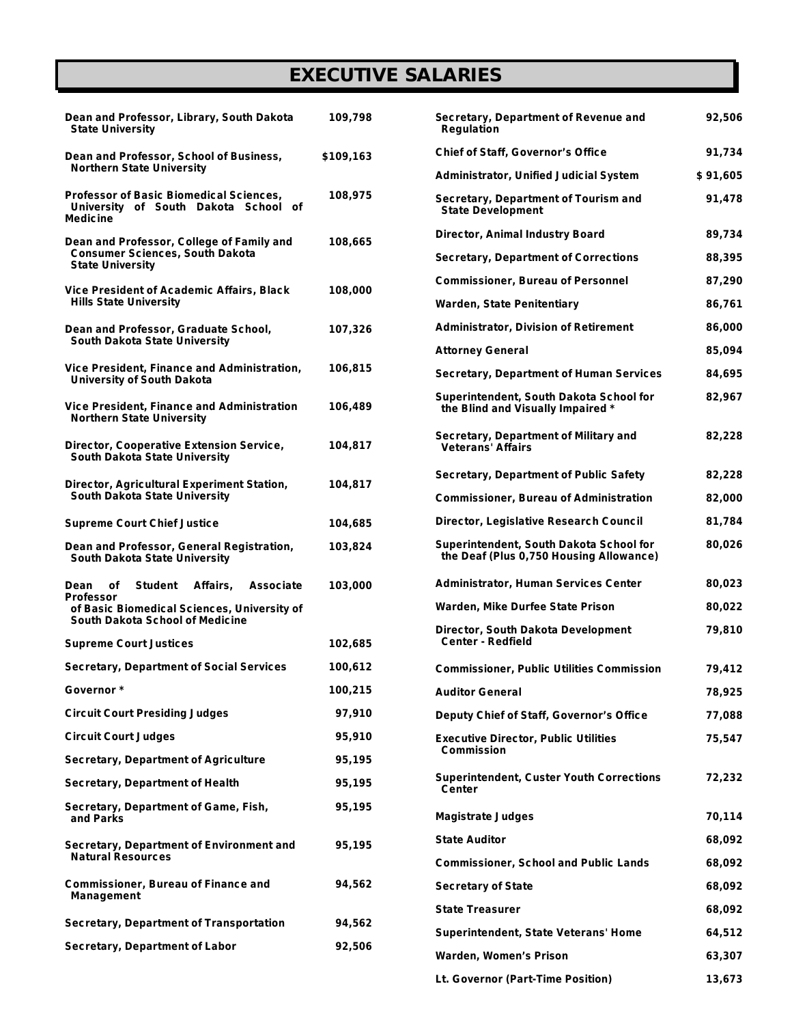## *EXECUTIVE SALARIES*

| Dean and Professor, Library, South Dakota<br><b>State University</b>                                           | 109,798   |
|----------------------------------------------------------------------------------------------------------------|-----------|
| Dean and Professor, School of Business,<br><b>Northern State University</b>                                    | \$109,163 |
| Professor of Basic Biomedical Sciences,<br>University of South Dakota School<br>οf<br>Medicine                 | 108,975   |
| Dean and Professor, College of Family and<br><b>Consumer Sciences, South Dakota</b><br><b>State University</b> | 108,665   |
| <b>Vice President of Academic Affairs, Black</b><br><b>Hills State University</b>                              | 108,000   |
| Dean and Professor, Graduate School,<br>South Dakota State University                                          | 107,326   |
| Vice President, Finance and Administration,<br><b>University of South Dakota</b>                               | 106,815   |
| <b>Vice President, Finance and Administration</b><br><b>Northern State University</b>                          | 106,489   |
| Director, Cooperative Extension Service,<br><b>South Dakota State University</b>                               | 104,817   |
| Director, Agricultural Experiment Station,<br><b>South Dakota State University</b>                             | 104,817   |
| <b>Supreme Court Chief Justice</b>                                                                             | 104,685   |
| Dean and Professor, General Registration,<br>South Dakota State University                                     | 103,824   |
| Dean of<br>Student<br>Affairs, Associate                                                                       | 103,000   |
| Professor<br>of Basic Biomedical Sciences, University of<br><b>South Dakota School of Medicine</b>             |           |
| <b>Supreme Court Justices</b>                                                                                  | 102,685   |
| Secretary, Department of Social Services                                                                       | 100,612   |
| Governor *                                                                                                     | 100,215   |
| <b>Circuit Court Presiding Judges</b>                                                                          | 97,910    |
| <b>Circuit Court Judges</b>                                                                                    | 95,910    |
| <b>Secretary, Department of Agriculture</b>                                                                    | 95,195    |
| Secretary, Department of Health                                                                                | 95,195    |
| Secretary, Department of Game, Fish,<br>and Parks                                                              | 95,195    |
| Secretary, Department of Environment and<br><b>Natural Resources</b>                                           | 95,195    |
| Commissioner, Bureau of Finance and<br>Management                                                              | 94,562    |
| Secretary, Department of Transportation                                                                        | 94,562    |
| Secretary, Department of Labor                                                                                 | 92,506    |

| Secretary, Department of Revenue and<br><b>Regulation</b>                          | 92,506   |
|------------------------------------------------------------------------------------|----------|
| <b>Chief of Staff, Governor's Office</b>                                           | 91,734   |
| <b>Administrator, Unified Judicial System</b>                                      | \$91,605 |
| Secretary, Department of Tourism and<br><b>State Development</b>                   | 91,478   |
| Director, Animal Industry Board                                                    | 89,734   |
| <b>Secretary, Department of Corrections</b>                                        | 88,395   |
| <b>Commissioner, Bureau of Personnel</b>                                           | 87,290   |
| <b>Warden, State Penitentiary</b>                                                  | 86,761   |
| <b>Administrator, Division of Retirement</b>                                       | 86,000   |
| <b>Attorney General</b>                                                            | 85,094   |
| <b>Secretary, Department of Human Services</b>                                     | 84,695   |
| Superintendent, South Dakota School for<br>the Blind and Visually Impaired *       | 82,967   |
| Secretary, Department of Military and<br><b>Veterans' Affairs</b>                  | 82,228   |
| <b>Secretary, Department of Public Safety</b>                                      | 82,228   |
| <b>Commissioner, Bureau of Administration</b>                                      | 82,000   |
| Director, Legislative Research Council                                             | 81,784   |
| Superintendent, South Dakota School for<br>the Deaf (Plus 0,750 Housing Allowance) | 80,026   |
| <b>Administrator, Human Services Center</b>                                        | 80,023   |
| Warden, Mike Durfee State Prison                                                   | 80,022   |
| Director, South Dakota Development<br><b>Center - Redfield</b>                     | 79,810   |
| <b>Commissioner, Public Utilities Commission</b>                                   | 79,412   |
| Auditor General                                                                    | 78,925   |
| Deputy Chief of Staff, Governor's Office                                           | 77,088   |
| <b>Executive Director, Public Utilities</b><br>Commission                          | 75,547   |
| <b>Superintendent, Custer Youth Corrections</b><br>Center                          | 72,232   |
| <b>Magistrate Judges</b>                                                           | 70,114   |
| <b>State Auditor</b>                                                               | 68,092   |
| <b>Commissioner, School and Public Lands</b>                                       | 68,092   |
| <b>Secretary of State</b>                                                          | 68,092   |
| <b>State Treasurer</b>                                                             | 68,092   |
| <b>Superintendent, State Veterans' Home</b>                                        | 64,512   |
| Warden, Women's Prison                                                             | 63,307   |
| Lt. Governor (Part-Time Position)                                                  | 13,673   |